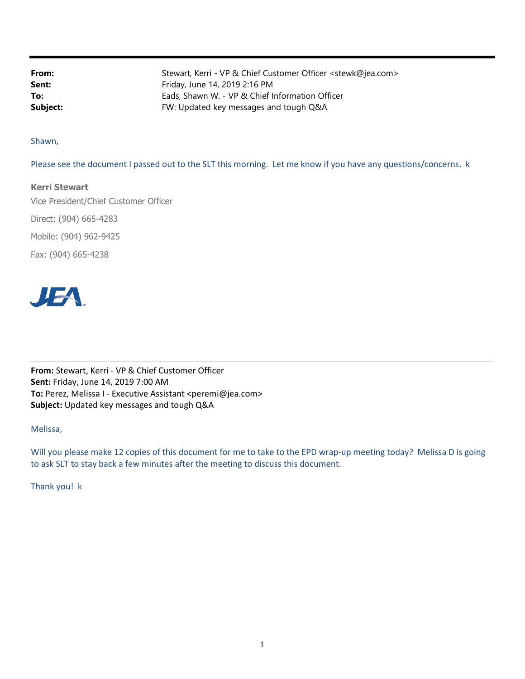From: Stewart, Kerri - VP & Chief Customer Officer <stewk@jea.com> **Sent:** Friday, June 14, 2019 2:16 PM To: Eads, Shawn W. - VP & Chief Information Officer **Subject:** FW: Updated key messages and tough Q&A

Shawn,

Please see the document I passed out to the SLT this morning. Let me know if you have any questions/concerns. k

## Kerri Stewart

Vice President/Chief Customer Officer Direct: (904) 665-4283 Mobile: (904) 962-9425 Fax: (904) 665-4238



From: Stewart, Kerri - VP & Chief Customer Officer Sent: Friday, June 14, 2019 7:00 AM To: Perez, Melissa I - Executive Assistant <peremi@jea.com> Subject: Updated key messages and tough Q&A

Melissa,

Will you please make 12 copies of this document for me to take to the EPD wrap-up meeting today? Melissa D is going to ask SLT to stay back a few minutes after the meeting to discuss this document.

Thank you! k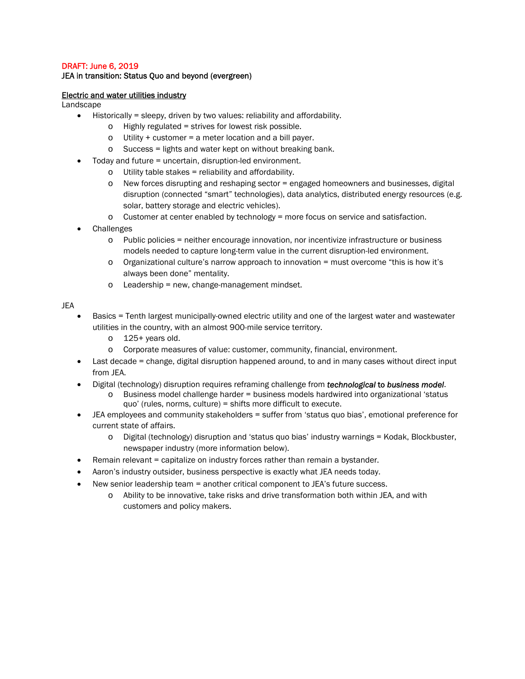## DRAFT: June 6, 2019

## JEA in transition: Status Quo and beyond (evergreen)

#### Electric and water utilities industry

Landscape

- $\bullet$  Historically = sleepy, driven by two values: reliability and affordability.
	- o Highly regulated = strives for lowest risk possible.
	- $\circ$  Utility + customer = a meter location and a bill payer.
	- o Success = lights and water kept on without breaking bank.
- Today and future = uncertain, disruption-led environment.
	- $\circ$  Utility table stakes = reliability and affordability.
	- o New forces disrupting and reshaping sector = engaged homeowners and businesses, digital disruption (connected "smart" technologies), data analytics, distributed energy resources (e.g. solar, battery storage and electric vehicles).
	- $\circ$  Customer at center enabled by technology = more focus on service and satisfaction.
- Challenges
	- o Public policies = neither encourage innovation, nor incentivize infrastructure or business models needed to capture long-term value in the current disruption-led environment.
	- o Organizational culture's narrow approach to innovation = must overcome "this is how it's always been done" mentality.
	- $\circ$  Leadership = new, change-management mindset.

JEA

- Basics = Tenth largest municipally-owned electric utility and one of the largest water and wastewater utilities in the country, with an almost 900-mile service territory.
	- o 125+ years old.
	- o Corporate measures of value: customer, community, financial, environment.
- Last decade = change, digital disruption happened around, to and in many cases without direct input from JEA.
- Digital (technology) disruption requires reframing challenge from *technological* to *business model*.
	- o Business model challenge harder = business models hardwired into organizational 'status quo' (rules, norms, culture) = shifts more difficult to execute.
- JEA employees and community stakeholders = suffer from 'status quo bias', emotional preference for current state of affairs.
	- o Digital (technology) disruption and 'status quo bias' industry warnings = Kodak, Blockbuster, newspaper industry (more information below).
- Remain relevant = capitalize on industry forces rather than remain a bystander.
- Aaron's industry outsider, business perspective is exactly what JEA needs today.
- New senior leadership team = another critical component to JEA's future success.
	- o Ability to be innovative, take risks and drive transformation both within JEA, and with customers and policy makers.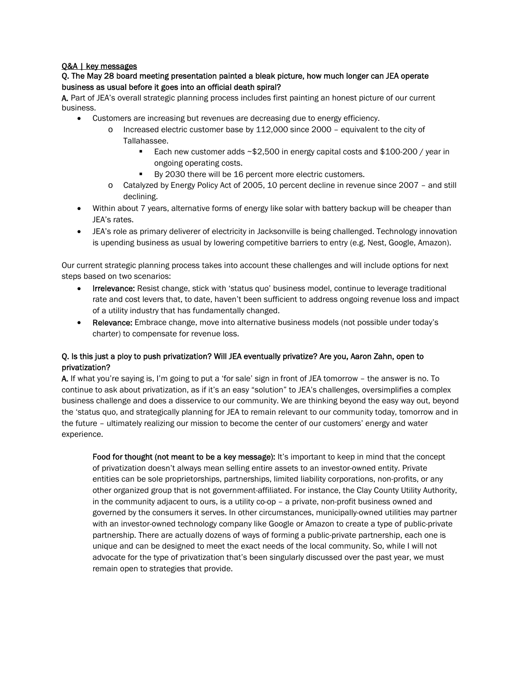#### Q&A | key messages

## Q. The May 28 board meeting presentation painted a bleak picture, how much longer can JEA operate business as usual before it goes into an official death spiral?

A. Part of JEA's overall strategic planning process includes first painting an honest picture of our current business.

- Customers are increasing but revenues are decreasing due to energy efficiency.
	- o Increased electric customer base by 112,000 since 2000 equivalent to the city of Tallahassee.
		- Each new customer adds ~\$2,500 in energy capital costs and \$100-200 / year in ongoing operating costs.
		- By 2030 there will be 16 percent more electric customers.
	- o Catalyzed by Energy Policy Act of 2005, 10 percent decline in revenue since 2007 and still declining.
- Within about 7 years, alternative forms of energy like solar with battery backup will be cheaper than JEA's rates.
- JEA's role as primary deliverer of electricity in Jacksonville is being challenged. Technology innovation is upending business as usual by lowering competitive barriers to entry (e.g. Nest, Google, Amazon).

Our current strategic planning process takes into account these challenges and will include options for next steps based on two scenarios:

- Irrelevance: Resist change, stick with 'status quo' business model, continue to leverage traditional rate and cost levers that, to date, haven't been sufficient to address ongoing revenue loss and impact of a utility industry that has fundamentally changed.
- Relevance: Embrace change, move into alternative business models (not possible under today's charter) to compensate for revenue loss.

## Q. Is this just a ploy to push privatization? Will JEA eventually privatize? Are you, Aaron Zahn, open to privatization?

A. If what you're saying is, I'm going to put a 'for sale' sign in front of JEA tomorrow – the answer is no. To continue to ask about privatization, as if it's an easy "solution" to JEA's challenges, oversimplifies a complex business challenge and does a disservice to our community. We are thinking beyond the easy way out, beyond the 'status quo, and strategically planning for JEA to remain relevant to our community today, tomorrow and in the future – ultimately realizing our mission to become the center of our customers' energy and water experience.

Food for thought (not meant to be a key message): It's important to keep in mind that the concept of privatization doesn't always mean selling entire assets to an investor-owned entity. Private entities can be sole proprietorships, partnerships, limited liability corporations, non-profits, or any other organized group that is not government-affiliated. For instance, the Clay County Utility Authority, in the community adjacent to ours, is a utility co-op – a private, non-profit business owned and governed by the consumers it serves. In other circumstances, municipally-owned utilities may partner with an investor-owned technology company like Google or Amazon to create a type of public-private partnership. There are actually dozens of ways of forming a public-private partnership, each one is unique and can be designed to meet the exact needs of the local community. So, while I will not advocate for the type of privatization that's been singularly discussed over the past year, we must remain open to strategies that provide.